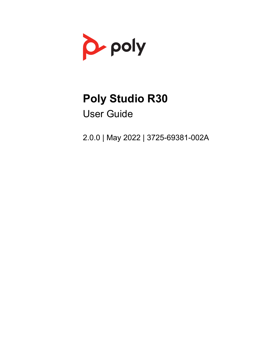

# **Poly Studio R30**

User Guide

2.0.0 | May 2022 | 3725-69381-002A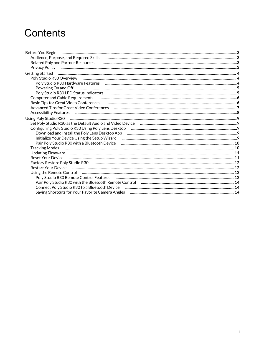## Contents

| Before You Begin                                                                                                                                                                                                               |  |
|--------------------------------------------------------------------------------------------------------------------------------------------------------------------------------------------------------------------------------|--|
|                                                                                                                                                                                                                                |  |
|                                                                                                                                                                                                                                |  |
|                                                                                                                                                                                                                                |  |
|                                                                                                                                                                                                                                |  |
|                                                                                                                                                                                                                                |  |
|                                                                                                                                                                                                                                |  |
| Powering On and Off <b>with the continuum continuum contract</b> 5                                                                                                                                                             |  |
| Poly Studio R30 LED Status Indicators members manufacture and an according to the manufacture and status and t                                                                                                                 |  |
|                                                                                                                                                                                                                                |  |
|                                                                                                                                                                                                                                |  |
|                                                                                                                                                                                                                                |  |
|                                                                                                                                                                                                                                |  |
|                                                                                                                                                                                                                                |  |
|                                                                                                                                                                                                                                |  |
|                                                                                                                                                                                                                                |  |
|                                                                                                                                                                                                                                |  |
|                                                                                                                                                                                                                                |  |
|                                                                                                                                                                                                                                |  |
|                                                                                                                                                                                                                                |  |
| Updating Firmware municipality and the manufacture of the state of 11                                                                                                                                                          |  |
|                                                                                                                                                                                                                                |  |
|                                                                                                                                                                                                                                |  |
|                                                                                                                                                                                                                                |  |
| Using the Remote Control measurement control and the manufacture of the measurement control of the measurement of the measurement of the measurement of the measurement of the measurement of the measurement of the measureme |  |
| Poly Studio R30 Remote Control Features (2008) 2014 12: 2015 00:00 12:00 12:00 12:00 12:00 12:00 12:00 12:00 1                                                                                                                 |  |
|                                                                                                                                                                                                                                |  |
|                                                                                                                                                                                                                                |  |
|                                                                                                                                                                                                                                |  |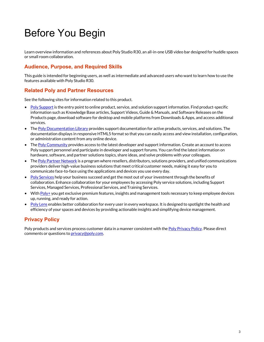## <span id="page-2-0"></span>Before You Begin

Learn overview information and references about Poly Studio R30, an all-in-one USB video bar designed for huddle spaces or small room collaboration.

## **Audience, Purpose, and Required Skills**

This guide is intended for beginning users, as well as intermediate and advanced users who want to learn how to use the features available with Poly Studio R30.

## **Related Poly and Partner Resources**

See the following sites for information related to this product.

- Poly [Support](https://www.poly.com/us/en/support) is the entry point to online product, service, and solution support information. Find product-specific information such as Knowledge Base articles, Support Videos, Guide & Manuals, and Software Releases on the Products page, download software for desktop and mobile platforms from Downloads & Apps, and access additional services.
- The Poly [Documentation](https://docs.poly.com/) Library provides support documentation for active products, services, and solutions. The documentation displays in responsive HTML5 format so that you can easily access and view installation, configuration, or administration content from any online device.
- The Poly [Community](https://community.polycom.com/) provides access to the latest developer and support information. Create an account to access Poly support personnel and participate in developer and support forums. You can find the latest information on hardware, software, and partner solutions topics, share ideas, and solve problems with your colleagues.
- The Poly Partner [Network](https://www.poly.com/us/en/partners) is a program where resellers, distributors, solutions providers, and unified communications providers deliver high-value business solutions that meet critical customer needs, making it easy for you to communicate face-to-face using the applications and devices you use every day.
- Poly [Services](https://www.poly.com/us/en/products/services) help your business succeed and get the most out of your investment through the benefits of collaboration. Enhance collaboration for your employees by accessing Poly service solutions, including Support Services, Managed Services, Professional Services, and Training Services.
- With [Poly+](https://www.poly.com/us/en/products/services/support/poly-plus) you get exclusive premium features, insights and management tools necessary to keep employee devices up, running, and ready for action.
- Poly [Lens](https://www.poly.com/us/en/products/services/cloud/poly-lens) enables better collaboration for every user in every workspace. It is designed to spotlight the health and efficiency of your spaces and devices by providing actionable insights and simplifying device management.

## **Privacy Policy**

Poly products and services process customer data in a manner consistent with the Poly [Privacy](https://www.poly.com/us/en/legal/privacy) Policy. Please direct comments or questions to **privacy@poly.com.**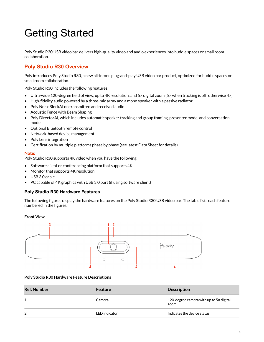# <span id="page-3-0"></span>Getting Started

Poly Studio R30 USB video bar delivers high-quality video and audio experiences into huddle spaces or small room collaboration.

## **Poly Studio R30 Overview**

Poly introduces Poly Studio R30, a new all-in-one plug-and-play USB video bar product, optimized for huddle spaces or small room collaboration.

Poly Studio R30 includes the following features:

- Ultra-wide 120-degree field of view, up to 4K resolution, and 5× digital zoom (5× when tracking is off, otherwise 4×)
- High-fidelity audio powered by a three-mic array and a mono speaker with a passive radiator
- Poly NoiseBlockAI on transmitted and received audio
- Acoustic Fence with Beam Shaping
- Poly DirectorAI, which includes automatic speaker tracking and group framing, presenter mode, and conversation mode
- Optional Bluetooth remote control
- Network-based device management
- Poly Lens integration
- Certification by multiple platforms phase by phase (see latest Data Sheet for details)

#### **Note:**

Poly Studio R30 supports 4K video when you have the following:

- Software client or conferencing platform that supports 4K
- Monitor that supports 4K resolution
- USB 3.0 cable
- PC capable of 4K graphics with USB 3.0 port (if using software client)

#### **Poly Studio R30 Hardware Features**

The following figures display the hardware features on the Poly Studio R30 USB video bar. The table lists each feature numbered in the figures.

#### **Front View**



#### **Poly Studio R30 Hardware Feature Descriptions**

| <b>Ref. Number</b> | <b>Feature</b> | <b>Description</b>                              |
|--------------------|----------------|-------------------------------------------------|
|                    | Camera         | 120-degree camera with up to 5x digital<br>zoom |
| 2                  | LED indicator  | Indicates the device status                     |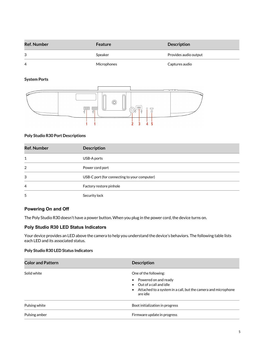<span id="page-4-0"></span>

| <b>Ref. Number</b> | <b>Feature</b> | <b>Description</b>    |
|--------------------|----------------|-----------------------|
| 3                  | Speaker        | Provides audio output |
| -4                 | Microphones    | Captures audio        |

#### **System Ports**



#### **Poly Studio R30 Port Descriptions**

| <b>Ref. Number</b> | <b>Description</b>                           |
|--------------------|----------------------------------------------|
| 1                  | USB-A ports                                  |
| 2                  | Power cord port                              |
| 3                  | USB-C port (for connecting to your computer) |
| 4                  | Factory restore pinhole                      |
| 5                  | Security lock                                |

#### **Powering On and Off**

The Poly Studio R30 doesn't have a power button. When you plug in the power cord, the device turns on.

#### **Poly Studio R30 LED Status Indicators**

Your device provides an LED above the camera to help you understand the device's behaviors. The following table lists each LED and its associated status.

#### **Poly Studio R30 LED Status Indicators**

| <b>Color and Pattern</b> | <b>Description</b>                                                                                                                                               |  |
|--------------------------|------------------------------------------------------------------------------------------------------------------------------------------------------------------|--|
| Solid white              | One of the following:<br>Powered on and ready<br>$\bullet$ Out of a call and idle<br>• Attached to a system in a call, but the camera and microphone<br>are idle |  |
| Pulsing white            | Boot initialization in progress                                                                                                                                  |  |
| Pulsing amber            | Firmware update in progress                                                                                                                                      |  |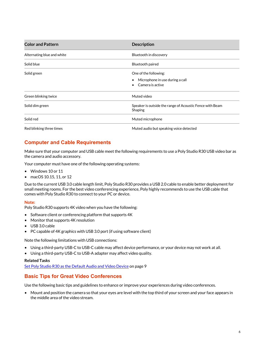<span id="page-5-0"></span>

| <b>Color and Pattern</b>   | <b>Description</b>                                                           |
|----------------------------|------------------------------------------------------------------------------|
| Alternating blue and white | Bluetooth in discovery                                                       |
| Solid blue                 | Bluetooth paired                                                             |
| Solid green                | One of the following:<br>Microphone in use during a call<br>Camera is active |
| Green blinking twice       | Muted video                                                                  |
| Solid dim green            | Speaker is outside the range of Acoustic Fence with Beam<br>Shaping          |
| Solid red                  | Muted microphone                                                             |
| Red blinking three times   | Muted audio but speaking voice detected                                      |

## **Computer and Cable Requirements**

Make sure that your computer and USB cable meet the following requirements to use a Poly Studio R30 USB video bar as the camera and audio accessory.

Your computer must have one of the following operating systems:

- Windows 10 or 11
- macOS 10.15, 11, or 12

Due to the current USB 3.0 cable length limit, Poly Studio R30 provides a USB 2.0 cable to enable better deployment for small meeting rooms. For the best video conferencing experience, Poly highly recommends to use the USB cable that comes with Poly Studio R30 to connect to your PC or device.

#### **Note:**

Poly Studio R30 supports 4K video when you have the following:

- Software client or conferencing platform that supports 4K
- Monitor that supports 4K resolution
- USB 3.0 cable
- PC capable of 4K graphics with USB 3.0 port (if using software client)

Note the following limitations with USB connections:

- Using a third-party USB-C to USB-C cable may affect device performance, or your device may not work at all.
- Using a third-party USB-C to USB-A adapter may affect video quality.

#### **Related Tasks**

[Set Poly Studio R30 as the Default Audio and Video Device](#page-8-0) on page 9

#### **Basic Tips for Great Video Conferences**

Use the following basic tips and guidelines to enhance or improve your experiences during video conferences.

• Mount and position the camera so that your eyes are level with the top third of your screen and your face appears in the middle area of the video stream.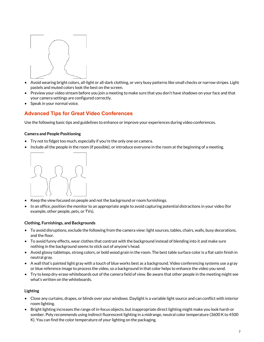<span id="page-6-0"></span>

- Avoid wearing bright colors, all-light or all-dark clothing, or very busy patterns like small checks or narrow stripes. Light pastels and muted colors look the best on the screen.
- Preview your video stream before you join a meeting to make sure that you don't have shadows on your face and that your camera settings are configured correctly.
- Speak in your normal voice.

## **Advanced Tips for Great Video Conferences**

Use the following basic tips and guidelines to enhance or improve your experiences during video conferences.

#### **Camera and People Positioning**

- Try not to fidget too much, especially if you're the only one on camera.
- Include all the people in the room (if possible), or introduce everyone in the room at the beginning of a meeting.



- Keep the view focused on people and not the background or room furnishings.
- In an office, position the monitor to an appropriate angle to avoid capturing potential distractions in your video (for example, other people, pets, or TVs).

#### **Clothing, Furnishings, and Backgrounds**

- To avoid disruptions, exclude the following from the camera view: light sources, tables, chairs, walls, busy decorations, and the floor.
- To avoid funny effects, wear clothes that contrast with the background instead of blending into it and make sure nothing in the background seems to stick out of anyone's head.
- Avoid glossy tabletops, strong colors, or bold wood grain in the room. The best table surface color is a flat satin finish in neutral gray.
- A wall that's painted light gray with a touch of blue works best as a background. Video conferencing systems use a gray or blue reference image to process the video, so a background in that color helps to enhance the video you send.
- Try to keep dry-erase whiteboards out of the camera field of view. Be aware that other people in the meeting might see what's written on the whiteboards.

#### **Lighting**

- Close any curtains, drapes, or blinds over your windows. Daylight is a variable light source and can conflict with interior room lighting.
- Bright lighting increases the range of in-focus objects, but inappropriate direct lighting might make you look harsh or somber. Poly recommends using indirect fluorescent lighting in a midrange, neutral color temperature (3600 K to 4500 K). You can find the color temperature of your lighting on the packaging.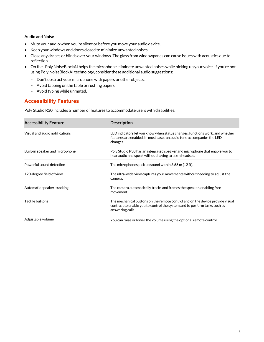#### <span id="page-7-0"></span>**Audio and Noise**

- Mute your audio when you're silent or before you move your audio device.
- Keep your windows and doors closed to minimize unwanted noises.
- Close any drapes or blinds over your windows. The glass from windowpanes can cause issues with acoustics due to reflection.
- On the , Poly NoiseBlockAI helps the microphone eliminate unwanted noises while picking up your voice. If you're not using Poly NoiseBlockAI technology, consider these additional audio suggestions:
	- Don't obstruct your microphone with papers or other objects.
	- Avoid tapping on the table or rustling papers.
	- Avoid typing while unmuted.

### **Accessibility Features**

Poly Studio R30 includes a number of features to accommodate users with disabilities.

| <b>Accessibility Feature</b>    | <b>Description</b>                                                                                                                                                             |
|---------------------------------|--------------------------------------------------------------------------------------------------------------------------------------------------------------------------------|
| Visual and audio notifications  | LED indicators let you know when status changes, functions work, and whether<br>features are enabled. In most cases an audio tone accompanies the LED<br>changes.              |
| Built-in speaker and microphone | Poly Studio R30 has an integrated speaker and microphone that enable you to<br>hear audio and speak without having to use a headset.                                           |
| Powerful sound detection        | The microphones pick up sound within 3.66 m (12 ft).                                                                                                                           |
| 120-degree field of view        | The ultra-wide view captures your movements without needing to adjust the<br>camera.                                                                                           |
| Automatic speaker-tracking      | The camera automatically tracks and frames the speaker, enabling free<br>movement.                                                                                             |
| Tactile buttons                 | The mechanical buttons on the remote control and on the device provide visual<br>contrast to enable you to control the system and to perform tasks such as<br>answering calls. |
| Adjustable volume               | You can raise or lower the volume using the optional remote control.                                                                                                           |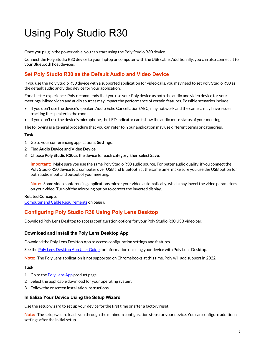# <span id="page-8-0"></span>Using Poly Studio R30

Once you plug in the power cable, you can start using the Poly Studio R30 device.

Connect the Poly Studio R30 device to your laptop or computer with the USB cable. Additionally, you can also connect it to your Bluetooth host devices.

## **Set Poly Studio R30 as the Default Audio and Video Device**

If you use the Poly Studio R30 device with a supported application for video calls, you may need to set Poly Studio R30 as the default audio and video device for your application.

For a better experience, Poly recommends that you use your Poly device as both the audio and video device for your meetings. Mixed video and audio sources may impact the performance of certain features. Possible scenarios include:

- If you don't use the device's speaker, Audio Echo Cancellation (AEC) may not work and the camera may have issues tracking the speaker in the room.
- If you don't use the device's microphone, the LED indicator can't show the audio mute status of your meeting.

The following is a general procedure that you can refer to. Your application may use different terms or categories.

#### **Task**

- 1 Go to your conferencing application's **Settings**.
- 2 Find **Audio Device** and **Video Device**.
- 3 Choose **Poly Studio R30** as the device for each category, then select **Save**.

**Important:** Make sure you use the same Poly Studio R30 audio source. For better audio quality, if you connect the Poly Studio R30 device to a computer over USB and Bluetooth at the same time, make sure you use the USB option for both audio input and output of your meeting.

**Note:** Some video conferencing applications mirror your video automatically, which may invert the video parameters on your video. Turn off the mirroring option to correct the inverted display.

#### **Related Concepts**

[Computer and Cable Requirements](#page-5-0) on page 6

## **Configuring Poly Studio R30 Using Poly Lens Desktop**

Download Poly Lens Desktop to access configuration options for your Poly Studio R30 USB video bar.

#### **Download and Install the Poly Lens Desktop App**

Download the Poly Lens Desktop App to access configuration settings and features.

See the Poly Lens [Desktop](https://documents.polycom.com/bundle/poly-lens-da/page/c4773981.html) App User Guide for information on using your device with Poly Lens Desktop.

**Note:** The Poly Lens application is not supported on Chromebooks at this time. Poly will add support in 2022

#### **Task**

- 1 Go to the Poly [Lens](http://www.poly.com/lens) App product page.
- 2 Select the applicable download for your operating system.
- 3 Follow the onscreen installation instructions.

#### **Initialize Your Device Using the Setup Wizard**

Use the setup wizard to set up your device for the first time or after a factory reset.

**Note:** The setup wizard leads you through the minimum configuration steps for your device. You can configure additional settings after the initial setup.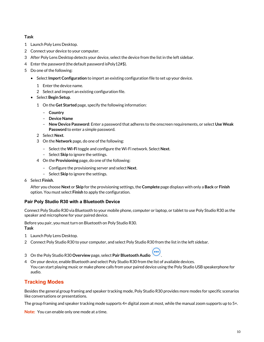#### <span id="page-9-0"></span>**Task**

- 1 Launch Poly Lens Desktop.
- 2 Connect your device to your computer.
- 3 After Poly Lens Desktop detects your device, select the device from the list in the left sidebar.
- 4 Enter the password (the default password isPoly12#\$).
- 5 Do one of the following:
	- Select **Import Configuration** to import an existing configuration file to set up your device.
		- 1 Enter the device name.
		- 2 Select and import an existing configuration file.
	- Select **Begin Setup**.
		- 1 On the **Get Started** page, specify the following information:
			- **Country**
			- **Device Name**
			- **New Device Password**: Enter a password that adheres to the onscreen requirements, or select **Use Weak Password** to enter a simple password.
		- 2 Select **Next**.
		- 3 On the **Network** page, do one of the following:
			- Select the **Wi-Fi** toggle and configure the Wi-Fi network. Select **Next**.
			- Select **Skip** to ignore the settings.
		- 4 On the **Provisioning** page, do one of the following:
			- Configure the provisioning server and select **Next**.
			- Select **Skip** to ignore the settings.
- 6 Select **Finish**.

After you choose **Next** or **Skip** for the provisioning settings, the **Complete** page displays with only a **Back** or **Finish**  option. You must select **Finish** to apply the configuration.

#### **Pair Poly Studio R30 with a Bluetooth Device**

Connect Poly Studio R30 via Bluetooth to your mobile phone, computer or laptop, or tablet to use Poly Studio R30 as the speaker and microphone for your paired device.

Before you pair, you must turn on Bluetooth on Poly Studio R30. **Task**

- 1 Launch Poly Lens Desktop.
- 2 Connect Poly Studio R30 to your computer, and select Poly Studio R30 from the list in the left sidebar.
- 3 On the Poly Studio R30 **Overview** page, select **Pair Bluetooth Audio** .
- 4 On your device, enable Bluetooth and select Poly Studio R30 from the list of available devices. You can start playing music or make phone calls from your paired device using the Poly Studio USB speakerphone for audio.

## **Tracking Modes**

Besides the general group framing and speaker tracking mode, Poly Studio R30 provides more modes for specific scenarios like conversations or presentations.

The group framing and speaker tracking mode supports  $4\times$  digital zoom at most, while the manual zoom supports up to  $5\times$ .

**Note:** You can enable only one mode at a time.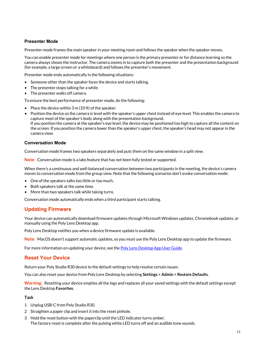#### <span id="page-10-0"></span>**Presenter Mode**

Presenter mode frames the main speaker in your meeting room and follows the speaker when the speaker moves.

You can enable presenter mode for meetings where one person is the primary presenter or for distance learning so the camera always shows the instructor. The camera zooms in to capture both the presenter and the presentation background (for example, a large screen or a whiteboard) and follows the presenter's movement.

Presenter mode ends automatically in the following situations:

- Someone other than the speaker faces the device and starts talking.
- The presenter stops talking for a while.
- The presenter walks off camera.

To ensure the best performance of presenter mode, do the following:

- Place the device within 3 m (10 ft) of the speaker.
- Position the device so the camera is level with the speaker's upper chest instead of eye level. This enables the camera to capture most of the speaker's body along with the presentation background. If you position the camera at the speaker's eye level, the device may be positioned too high to capture all the content on the screen. If you position the camera lower than the speaker's upper chest, the speaker's head may not appear in the camera view.

#### **Conversation Mode**

Conversation mode frames two speakers separately and puts them on the same window in a split view.

**Note:** Conversation mode is a labs feature that has not been fully tested or supported.

When there's a continuous and well-balanced conversation between two participants in the meeting, the device's camera moves to conversation mode from the group view. Note that the following scenarios don't evoke conversation mode:

- One of the speakers talks too little or too much.
- Both speakers talk at the same time.
- More than two speakers talk while taking turns.

Conversation mode automatically ends when a third participant starts talking.

### **Updating Firmware**

Your device can automatically download firmware updates through Microsoft Windows updates, Chromebook updates, or manually using the Poly Lens Desktop app.

Poly Lens Desktop notifies you when a device firmware update is available.

**Note:** MacOS doesn't support automatic updates, so you must use the Poly Lens Desktop app to update the firmware.

For more information on updating your device, see the Poly Lens [Desktop](https://documents.polycom.com/bundle/poly-lens-da/page/c4773981.html) App User Guide.

#### **Reset Your Device**

Return your Poly Studio R30 device to the default settings to help resolve certain issues.

You can also reset your device from Poly Lens Desktop by selecting **Settings > Admin > Restore Defaults**.

**Warning:** Resetting your device empties all the logs and replaces all your saved settings with the default settings except the Lens Desktop **Favorites**.

#### **Task**

- 1 Unplug USB-C from Poly Studio R30.
- 2 Straighten a paper clip and insert it into the reset pinhole.
- 3 Hold the reset button with the paperclip until the LED indicator turns amber. The factory reset is complete after the pulsing white LED turns off and an audible tone sounds.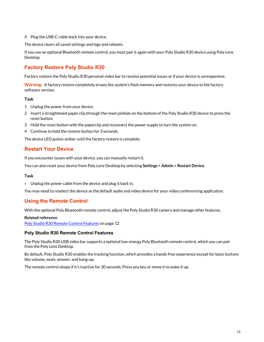<span id="page-11-0"></span>4 Plug the USB-C cable back into your device.

The device clears all saved settings and logs and reboots.

If you use an optional Bluetooth remote control, you must pair it again with your Poly Studio R30 device using Poly Lens Desktop.

## **Factory Restore Poly Studio R30**

Factory restore the Poly Studio R30 personal video bar to resolve potential issues or if your device is unresponsive.

**Warning:** A factory restore completely erases the system's flash memory and restores your device to the factory software version.

#### **Task**

- 1 Unplug the power from your device.
- 2 Insert a straightened paper clip through the reset pinhole on the bottom of the Poly Studio R30 device to press the reset button.
- 3 Hold the reset button with the paperclip and reconnect the power supply to turn the system on.
- 4 Continue to hold the restore button for 3 seconds.

The device LED pulses amber until the factory restore is complete.

### **Restart Your Device**

If you encounter issues with your device, you can manually restart it.

You can also reset your device from Poly Lens Desktop by selecting **Settings > Admin > Restart Device**.

#### **Task**

» Unplug the power cable from the device and plug it back in.

You may need to reselect the device as the default audio and video device for your video conferencing application.

### **Using the Remote Control**

With the optional Poly Bluetooth remote control, adjust the Poly Studio R30 camera and manage other features.

#### **Related reference**

Poly Studio R30 Remote Control Features on page 12

#### **Poly Studio R30 Remote Control Features**

The Poly Studio R30 USB video bar supports a optional low-energy Poly Bluetooth remote control, which you can pair from the Poly Lens Desktop.

By default, Poly Studio R30 enables the tracking function, which provides a hands-free experience except for basic buttons like volume, mute, answer, and hang-up.

The remote control sleeps if it's inactive for 30 seconds. Press any key or move it to wake it up.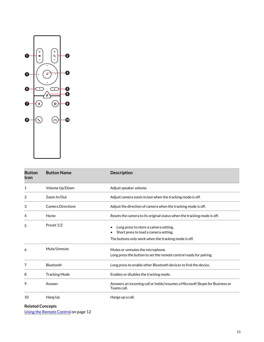

| <b>Button</b><br>Icon | <b>Button Name</b>       | <b>Description</b>                                                                                                                     |
|-----------------------|--------------------------|----------------------------------------------------------------------------------------------------------------------------------------|
| 1                     | Volume Up/Down           | Adjust speaker volume.                                                                                                                 |
| 2                     | Zoom In/Out              | Adjust camera zoom in/out when the tracking mode is off.                                                                               |
| 3                     | <b>Camera Directions</b> | Adjust the direction of camera when the tracking mode is off.                                                                          |
| 4                     | Home                     | Resets the camera to its original status when the tracking mode is off.                                                                |
| 5                     | Preset 1/2               | Long press to store a camera setting.<br>Short press to load a camera setting.<br>The buttons only work when the tracking mode is off. |
| 6                     | Mute/Unmute              | Mutes or unmutes the microphone.<br>Long press the button to set the remote control ready for pairing.                                 |
| 7                     | Bluetooth                | Long press to enable other Bluetooth devices to find the device.                                                                       |
| 8                     | <b>Tracking Mode</b>     | Enables or disables the tracking mode.                                                                                                 |
| 9                     | Answer                   | Answers an incoming call or holds/resumes a Microsoft Skype for Business or<br>Teams call.                                             |
| 10                    | Hang Up                  | Hangs up a call.                                                                                                                       |

**Related Concepts**

[Using the Remote Control](#page-11-0) on page 12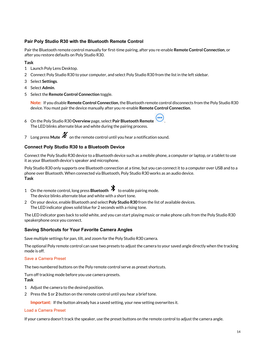#### <span id="page-13-0"></span>**Pair Poly Studio R30 with the Bluetooth Remote Control**

Pair the Bluetooth remote control manually for first-time pairing, after you re-enable **Remote Control Connection**, or after you restore defaults on Poly Studio R30.

#### **Task**

- 1 Launch Poly Lens Desktop.
- 2 Connect Poly Studio R30 to your computer, and select Poly Studio R30 from the list in the left sidebar.
- 3 Select **Settings**.
- 4 Select **Admin**.
- 5 Select the **Remote Control Connection** toggle.

**Note:** If you disable **Remote Control Connection**, the Bluetooth remote control disconnects from the Poly Studio R30 device. You must pair the device manually after you re-enable **Remote Control Connection**.

- 6 On the Poly Studio R30 **Overview** page, select **Pair Bluetooth Remote** . The LED blinks alternate blue and white during the pairing process.
- 7 I ong press **Mute**  $\mathcal{Z}$  on the remote control until you hear a notification sound.

#### **Connect Poly Studio R30 to a Bluetooth Device**

Connect the Poly Studio R30 device to a Bluetooth device such as a mobile phone, a computer or laptop, or a tablet to use it as your Bluetooth device's speaker and microphone.

Poly Studio R30 only supports one Bluetooth connection at a time, but you can connect it to a computer over USB and to a phone over Bluetooth. When connected via Bluetooth, Poly Studio R30 works as an audio device. **Task**

- 1 On the remote control, long press **Bluetooth**  $\mathcal{X}$  to enable pairing mode. The device blinks alternate blue and white with a short tone.
- 2 On your device, enable Bluetooth and select **Poly Studio R30** from the list of available devices. The LED indicator glows solid blue for 2 seconds with a rising tone.

The LED indicator goes back to solid white, and you can start playing music or make phone calls from the Poly Studio R30 speakerphone once you connect.

#### **Saving Shortcuts for Your Favorite Camera Angles**

Save multiple settings for pan, tilt, and zoom for the Poly Studio R30 camera.

The optional Poly remote control can save two presets to adjust the camera to your saved angle directly when the tracking mode is off.

#### Save a Camera Preset

The two numbered buttons on the Poly remote control serve as preset shortcuts.

Turn off tracking mode before you use camera presets. **Task**

- 1 Adjust the camera to the desired position.
- 2 Press the **1** or **2** button on the remote control until you hear a brief tone.

**Important:** If the button already has a saved setting, your new setting overwrites it.

#### Load a Camera Preset

If your camera doesn't track the speaker, use the preset buttons on the remote control to adjust the camera angle.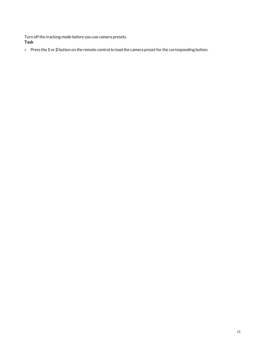Turn off the tracking mode before you use camera presets. **Task**

» Press the **1** or **2** button on the remote control to load the camera preset for the corresponding button.